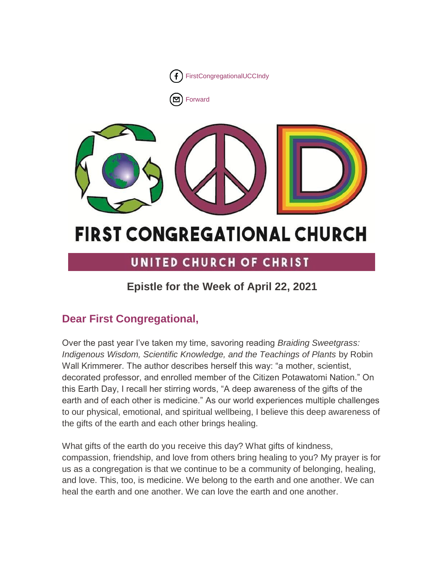

# **FIRST CONGREGATIONAL CHURCH**

# UNITED CHURCH OF CHRIST

# **Epistle for the Week of April 22, 2021**

# **Dear First Congregational,**

Over the past year I've taken my time, savoring reading *Braiding Sweetgrass: Indigenous Wisdom, Scientific Knowledge, and the Teachings of Plants* by Robin Wall Krimmerer. The author describes herself this way: "a mother, scientist, decorated professor, and enrolled member of the Citizen Potawatomi Nation." On this Earth Day, I recall her stirring words, "A deep awareness of the gifts of the earth and of each other is medicine." As our world experiences multiple challenges to our physical, emotional, and spiritual wellbeing, I believe this deep awareness of the gifts of the earth and each other brings healing.

What gifts of the earth do you receive this day? What gifts of kindness, compassion, friendship, and love from others bring healing to you? My prayer is for us as a congregation is that we continue to be a community of belonging, healing, and love. This, too, is medicine. We belong to the earth and one another. We can heal the earth and one another. We can love the earth and one another.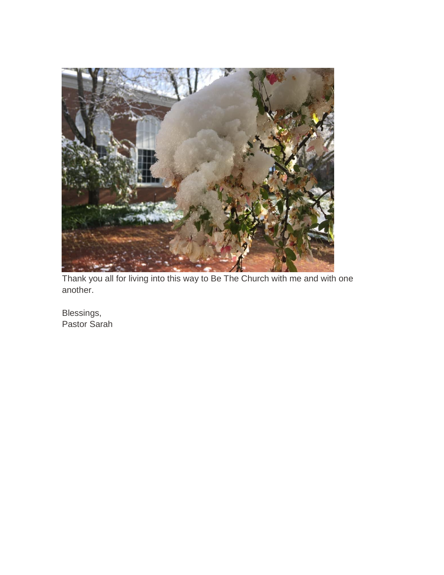

Thank you all for living into this way to Be The Church with me and with one another.

Blessings, Pastor Sarah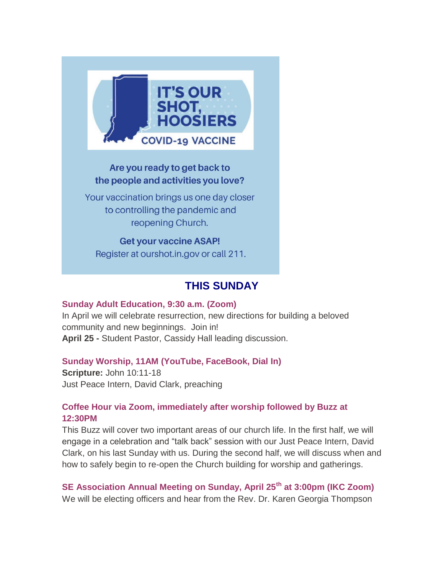

### Are you ready to get back to the people and activities you love?

Your vaccination brings us one day closer to controlling the pandemic and reopening Church.

**Get your vaccine ASAP!** Register at ourshot.in.gov or call 211.

### **THIS SUNDAY**

### **Sunday Adult Education, 9:30 a.m. (Zoom)**

In April we will celebrate resurrection, new directions for building a beloved community and new beginnings. Join in! **April 25 -** Student Pastor, Cassidy Hall leading discussion.

### **Sunday Worship, 11AM (YouTube, FaceBook, Dial In)**

**Scripture:** John 10:11-18 Just Peace Intern, David Clark, preaching

### **Coffee Hour via Zoom, immediately after worship followed by Buzz at 12:30PM**

This Buzz will cover two important areas of our church life. In the first half, we will engage in a celebration and "talk back" session with our Just Peace Intern, David Clark, on his last Sunday with us. During the second half, we will discuss when and how to safely begin to re-open the Church building for worship and gatherings.

**SE Association Annual Meeting on Sunday, April 25th at 3:00pm (IKC Zoom)** We will be electing officers and hear from the Rev. Dr. Karen Georgia Thompson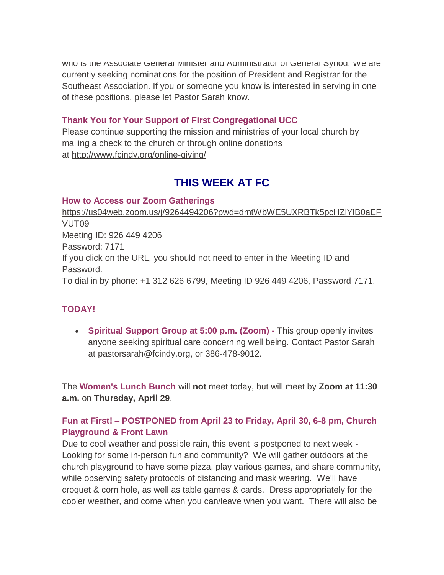who is the Associate General Minister and Administrator of General Synod. We are currently seeking nominations for the position of President and Registrar for the Southeast Association. If you or someone you know is interested in serving in one of these positions, please let Pastor Sarah know.

### **Thank You for Your Support of First Congregational UCC**

Please continue supporting the mission and ministries of your local church by mailing a check to the church or through online donations at <http://www.fcindy.org/online-giving/>

# **THIS WEEK AT FC**

### **How to Access our Zoom Gatherings**

[https://us04web.zoom.us/j/9264494206?pwd=dmtWbWE5UXRBTk5pcHZlYlB0aEF](https://us04web.zoom.us/j/9264494206?pwd=dmtWbWE5UXRBTk5pcHZlYlB0aEFVUT09) [VUT09](https://us04web.zoom.us/j/9264494206?pwd=dmtWbWE5UXRBTk5pcHZlYlB0aEFVUT09) Meeting ID: 926 449 4206 Password: 7171 If you click on the URL, you should not need to enter in the Meeting ID and Password. To dial in by phone: +1 312 626 6799, Meeting ID 926 449 4206, Password 7171.

### **TODAY!**

 **Spiritual Support Group at 5:00 p.m. (Zoom) -** This group openly invites anyone seeking spiritual care concerning well being. Contact Pastor Sarah at [pastorsarah@fcindy.org,](mailto:pastorsarah@fcindy.org) or 386-478-9012.

The **Women's Lunch Bunch** will **not** meet today, but will meet by **Zoom at 11:30 a.m.** on **Thursday, April 29**.

### **Fun at First! – POSTPONED from April 23 to Friday, April 30, 6-8 pm, Church Playground & Front Lawn**

Due to cool weather and possible rain, this event is postponed to next week - Looking for some in-person fun and community? We will gather outdoors at the church playground to have some pizza, play various games, and share community, while observing safety protocols of distancing and mask wearing. We'll have croquet & corn hole, as well as table games & cards. Dress appropriately for the cooler weather, and come when you can/leave when you want. There will also be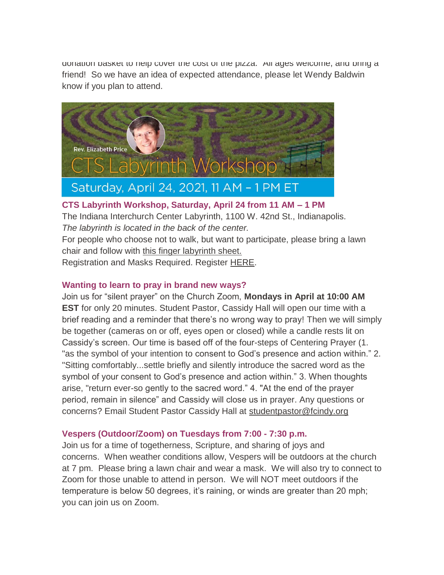donation basket to help cover the cost of the pizza. All ages welcome, and bring a friend! So we have an idea of expected attendance, please let Wendy Baldwin know if you plan to attend.



### **CTS Labyrinth Workshop, Saturday, April 24 from 11 AM – 1 PM**

The Indiana Interchurch Center Labyrinth, 1100 W. 42nd St., Indianapolis. *The labyrinth is located in the back of the center.*

For people who choose not to walk, but want to participate, please bring a lawn chair and follow with [this finger labyrinth sheet.](http://www.cts.edu/wp-content/uploads/2020/08/2021-Labyrinth-Workshop.pdf)

Registration and Masks Required. Register [HERE.](https://www.eventbrite.com/e/labyrinth-workshop-tickets-146644633045)

### **Wanting to learn to pray in brand new ways?**

Join us for "silent prayer" on the Church Zoom, **Mondays in April at 10:00 AM EST** for only 20 minutes. Student Pastor, Cassidy Hall will open our time with a brief reading and a reminder that there's no wrong way to pray! Then we will simply be together (cameras on or off, eyes open or closed) while a candle rests lit on Cassidy's screen. Our time is based off of the four-steps of Centering Prayer (1. "as the symbol of your intention to consent to God's presence and action within." 2. "Sitting comfortably...settle briefly and silently introduce the sacred word as the symbol of your consent to God's presence and action within." 3. When thoughts arise, "return ever-so gently to the sacred word." 4. "At the end of the prayer period, remain in silence" and Cassidy will close us in prayer. Any questions or concerns? Email Student Pastor Cassidy Hall at [studentpastor@fcindy.org](mailto:studentpastor@fcindy.org)

### **Vespers (Outdoor/Zoom) on Tuesdays from 7:00 - 7:30 p.m.**

Join us for a time of togetherness, Scripture, and sharing of joys and concerns. When weather conditions allow, Vespers will be outdoors at the church at 7 pm. Please bring a lawn chair and wear a mask. We will also try to connect to Zoom for those unable to attend in person. We will NOT meet outdoors if the temperature is below 50 degrees, it's raining, or winds are greater than 20 mph; you can join us on Zoom.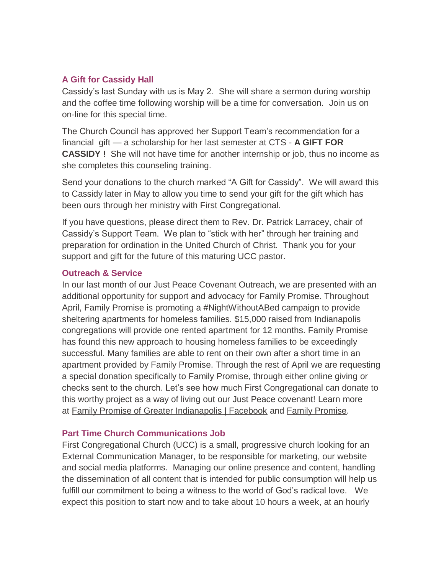### **A Gift for Cassidy Hall**

Cassidy's last Sunday with us is May 2. She will share a sermon during worship and the coffee time following worship will be a time for conversation. Join us on on-line for this special time.

The Church Council has approved her Support Team's recommendation for a financial gift — a scholarship for her last semester at CTS - **A GIFT FOR CASSIDY !** She will not have time for another internship or job, thus no income as she completes this counseling training.

Send your donations to the church marked "A Gift for Cassidy". We will award this to Cassidy later in May to allow you time to send your gift for the gift which has been ours through her ministry with First Congregational.

If you have questions, please direct them to Rev. Dr. Patrick Larracey, chair of Cassidy's Support Team. We plan to "stick with her" through her training and preparation for ordination in the United Church of Christ. Thank you for your support and gift for the future of this maturing UCC pastor.

### **Outreach & Service**

In our last month of our Just Peace Covenant Outreach, we are presented with an additional opportunity for support and advocacy for Family Promise. Throughout April, Family Promise is promoting a #NightWithoutABed campaign to provide sheltering apartments for homeless families. \$15,000 raised from Indianapolis congregations will provide one rented apartment for 12 months. Family Promise has found this new approach to housing homeless families to be exceedingly successful. Many families are able to rent on their own after a short time in an apartment provided by Family Promise. Through the rest of April we are requesting a special donation specifically to Family Promise, through either online giving or checks sent to the church. Let's see how much First Congregational can donate to this worthy project as a way of living out our Just Peace covenant! Learn more at [Family Promise of Greater Indianapolis | Facebook](https://www.facebook.com/familypromiseindy/) and [Family Promise.](https://familypromise.org/)

### **Part Time Church Communications Job**

First Congregational Church (UCC) is a small, progressive church looking for an External Communication Manager, to be responsible for marketing, our website and social media platforms. Managing our online presence and content, handling the dissemination of all content that is intended for public consumption will help us fulfill our commitment to being a witness to the world of God's radical love. We expect this position to start now and to take about 10 hours a week, at an hourly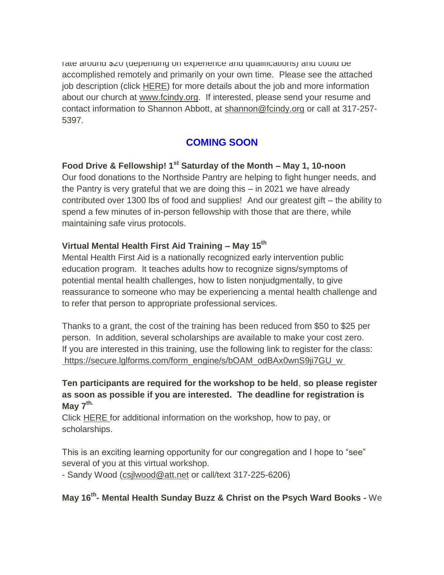rate around  $\phi$ zo (depending on experience and qualifications) and could be accomplished remotely and primarily on your own time. Please see the attached job description (click [HERE\)](https://mcusercontent.com/7a2e4c501545b6d78729a64a1/files/496e2ae7-00b7-40b6-9150-c5c009fad787/External_Communications_Manager_Job_Description_Finalv2.pdf) for more details about the job and more information about our church at [www.fcindy.org.](http://www.fcindy.org/) If interested, please send your resume and contact information to Shannon Abbott, at [shannon@fcindy.org](mailto:shannon@fcindy.org) or call at 317-257- 5397.

### **COMING SOON**

### **Food Drive & Fellowship! 1st Saturday of the Month – May 1, 10-noon**

Our food donations to the Northside Pantry are helping to fight hunger needs, and the Pantry is very grateful that we are doing this – in 2021 we have already contributed over 1300 lbs of food and supplies! And our greatest gift – the ability to spend a few minutes of in-person fellowship with those that are there, while maintaining safe virus protocols.

### **Virtual Mental Health First Aid Training – May 15th**

Mental Health First Aid is a nationally recognized early intervention public education program. It teaches adults how to recognize signs/symptoms of potential mental health challenges, how to listen nonjudgmentally, to give reassurance to someone who may be experiencing a mental health challenge and to refer that person to appropriate professional services.

Thanks to a grant, the cost of the training has been reduced from \$50 to \$25 per person. In addition, several scholarships are available to make your cost zero. If you are interested in this training, use the following link to register for the class: [https://secure.lglforms.com/form\\_engine/s/bOAM\\_odBAx0wnS9ji7GU\\_w](https://secure.lglforms.com/form_engine/s/bOAM_odBAx0wnS9ji7GU_w)

### **Ten participants are required for the workshop to be held**, **so please register as soon as possible if you are interested. The deadline for registration is May 7 th.**

Click [HERE](https://mcusercontent.com/7a2e4c501545b6d78729a64a1/files/6942c0fa-d81b-40a5-881a-5e51f2df50e9/Mental_Health_First_Aid_Trainingblurb2021.pdf) for additional information on the workshop, how to pay, or scholarships.

This is an exciting learning opportunity for our congregation and I hope to "see" several of you at this virtual workshop.

- Sandy Wood [\(csjlwood@att.net](mailto:csjlwood@att.net) or call/text 317-225-6206)

### **May 16th - Mental Health Sunday Buzz & Christ on the Psych Ward Books -** We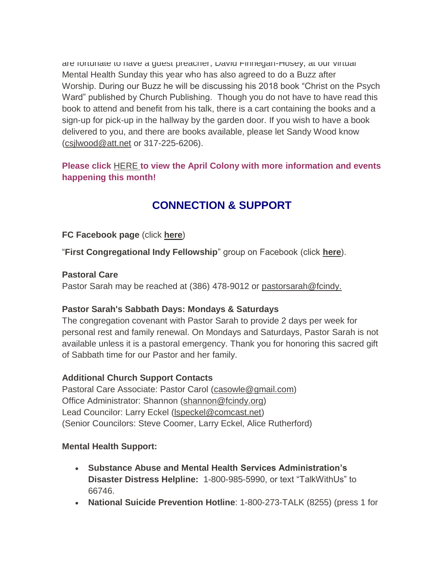are fortunate to have a guest preacher, David Finnegan-Hosey, at our virtual Mental Health Sunday this year who has also agreed to do a Buzz after Worship. During our Buzz he will be discussing his 2018 book "Christ on the Psych Ward" published by Church Publishing. Though you do not have to have read this book to attend and benefit from his talk, there is a cart containing the books and a sign-up for pick-up in the hallway by the garden door. If you wish to have a book delivered to you, and there are books available, please let Sandy Wood know [\(csjlwood@att.net](mailto:csjlwood@att.net-) or 317-225-6206).

**Please click** [HERE](https://mcusercontent.com/7a2e4c501545b6d78729a64a1/files/c6bc7fc6-7671-4bb5-9e27-00d25bc95abe/March_Colony_2021.01.pdf) **[t](https://mcusercontent.com/7a2e4c501545b6d78729a64a1/files/c6bc7fc6-7671-4bb5-9e27-00d25bc95abe/March_Colony_2021.01.pdf)o view the April Colony with more information and events happening this month!**

## **CONNECTION & SUPPORT**

**FC Facebook page** (click **[here](https://www.facebook.com/FirstCongregationalUCCIndy/)**)

"**First Congregational Indy Fellowship**" group on Facebook (click **[here](https://www.facebook.com/groups/521333455186422/)**).

### **Pastoral Care**

Pastor Sarah may be reached at (386) 478-9012 or [pastorsarah@fcindy.](mailto:pastorsarah@fcindy.org)

### **Pastor Sarah's Sabbath Days: Mondays & Saturdays**

The congregation covenant with Pastor Sarah to provide 2 days per week for personal rest and family renewal. On Mondays and Saturdays, Pastor Sarah is not available unless it is a pastoral emergency. Thank you for honoring this sacred gift of Sabbath time for our Pastor and her family.

### **Additional Church Support Contacts**

Pastoral Care Associate: Pastor Carol [\(casowle@gmail.com\)](mailto:casowle@gmail.com) Office Administrator: Shannon [\(shannon@fcindy.org\)](mailto:shannon@fcindy.org) Lead Councilor: Larry Eckel [\(lspeckel@comcast.net\)](mailto:lspeckel@comcast.net) (Senior Councilors: Steve Coomer, Larry Eckel, Alice Rutherford)

### **Mental Health Support:**

- **Substance Abuse and Mental Health Services Administration's Disaster Distress Helpline:** 1-800-985-5990, or text "TalkWithUs" to 66746.
- **National Suicide Prevention Hotline**: 1-800-273-TALK (8255) (press 1 for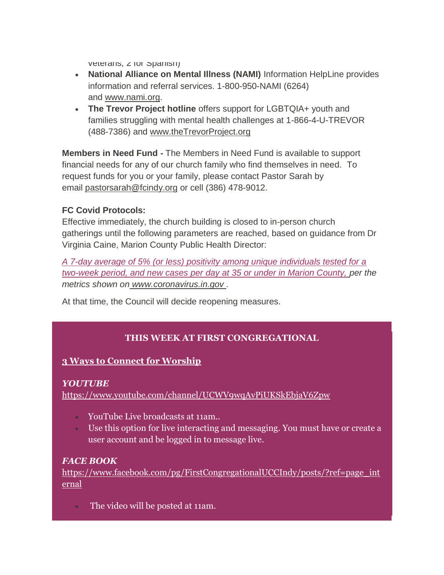veterans, *z* for Spanish)

- **National Alliance on Mental Illness (NAMI)** Information HelpLine provides information and referral services. 1-800-950-NAMI (6264) and [www.nami.org.](http://www.nami.org/)
- **The Trevor Project hotline** offers support for LGBTQIA+ youth and families struggling with mental health challenges at 1-866-4-U-TREVOR (488-7386) and [www.theTrevorProject.org](http://www.thetrevorproject.org/)

**Members in Need Fund -** The Members in Need Fund is available to support financial needs for any of our church family who find themselves in need. To request funds for you or your family, please contact Pastor Sarah by email [pastorsarah@fcindy.org](mailto:pastorsarah@fcindy.org) or cell (386) 478-9012.

### **FC Covid Protocols:**

Effective immediately, the church building is closed to in-person church gatherings until the following parameters are reached, based on guidance from Dr Virginia Caine, Marion County Public Health Director:

*A 7-day average of 5% (or less) positivity among unique individuals tested for a two-week period, and new cases per day at 35 or under in Marion County, per the metrics shown on [www.coronavirus.in.gov](http://www.coronavirus.in.gov/) .* 

At that time, the Council will decide reopening measures.

### **THIS WEEK AT FIRST CONGREGATIONAL**

### **3 Ways to Connect for Worship**

### *YOUTUBE*

<https://www.youtube.com/channel/UCWV9wqAvPiUKSkEbjaV6Zpw>

- YouTube Live broadcasts at 11am..
- Use this option for live interacting and messaging. You must have or create a user account and be logged in to message live.

### *FACE BOOK*

[https://www.facebook.com/pg/FirstCongregationalUCCIndy/posts/?ref=page\\_int](https://www.facebook.com/pg/FirstCongregationalUCCIndy/posts/?ref=page_internal) [ernal](https://www.facebook.com/pg/FirstCongregationalUCCIndy/posts/?ref=page_internal)

The video will be posted at 11am.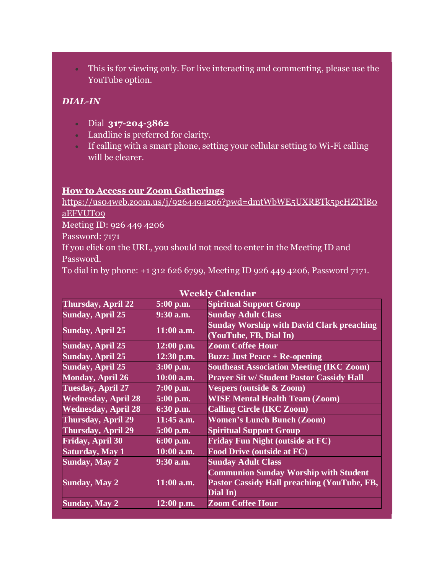This is for viewing only. For live interacting and commenting, please use the YouTube option.

### *DIAL-IN*

- Dial **317-204-3862**
- Landline is preferred for clarity.
- If calling with a smart phone, setting your cellular setting to Wi-Fi calling will be clearer.

### **How to Access our Zoom Gatherings**

[https://us04web.zoom.us/j/9264494206?pwd=dmtWbWE5UXRBTk5pcHZlYlB0](https://us04web.zoom.us/j/9264494206?pwd=dmtWbWE5UXRBTk5pcHZlYlB0aEFVUT09) [aEFVUT09](https://us04web.zoom.us/j/9264494206?pwd=dmtWbWE5UXRBTk5pcHZlYlB0aEFVUT09) Meeting ID: 926 449 4206

Password: 7171

If you click on the URL, you should not need to enter in the Meeting ID and Password.

To dial in by phone: +1 312 626 6799, Meeting ID 926 449 4206, Password 7171.

| <b>Weekly Calendar</b>     |              |                                                                            |
|----------------------------|--------------|----------------------------------------------------------------------------|
| <b>Thursday, April 22</b>  | 5:00 p.m.    | <b>Spiritual Support Group</b>                                             |
| <b>Sunday, April 25</b>    | 9:30 a.m.    | <b>Sunday Adult Class</b>                                                  |
| <b>Sunday, April 25</b>    | 11:00 a.m.   | <b>Sunday Worship with David Clark preaching</b><br>(YouTube, FB, Dial In) |
| <b>Sunday, April 25</b>    | $12:00$ p.m. | <b>Zoom Coffee Hour</b>                                                    |
| <b>Sunday, April 25</b>    | 12:30 p.m.   | <b>Buzz: Just Peace + Re-opening</b>                                       |
| Sunday, April 25           | $3:00$ p.m.  | <b>Southeast Association Meeting (IKC Zoom)</b>                            |
| <b>Monday, April 26</b>    | 10:00 a.m.   | <b>Prayer Sit w/ Student Pastor Cassidy Hall</b>                           |
| <b>Tuesday, April 27</b>   | $7:00$ p.m.  | <b>Vespers (outside &amp; Zoom)</b>                                        |
| <b>Wednesday, April 28</b> | 5:00 p.m.    | <b>WISE Mental Health Team (Zoom)</b>                                      |
| <b>Wednesday, April 28</b> | 6:30 p.m.    | <b>Calling Circle (IKC Zoom)</b>                                           |
| <b>Thursday, April 29</b>  | 11:45 a.m.   | <b>Women's Lunch Bunch (Zoom)</b>                                          |
| Thursday, April 29         | $5:00$ p.m.  | <b>Spiritual Support Group</b>                                             |
| <b>Friday, April 30</b>    | $6:00$ p.m.  | <b>Friday Fun Night (outside at FC)</b>                                    |
| <b>Saturday, May 1</b>     | 10:00 a.m.   | <b>Food Drive (outside at FC)</b>                                          |
| <b>Sunday, May 2</b>       | $9:30$ a.m.  | <b>Sunday Adult Class</b>                                                  |
|                            |              | <b>Communion Sunday Worship with Student</b>                               |
| <b>Sunday, May 2</b>       | $11:00$ a.m. | <b>Pastor Cassidy Hall preaching (YouTube, FB,</b>                         |
|                            |              | Dial In)                                                                   |
| <b>Sunday, May 2</b>       | $12:00$ p.m. | <b>Zoom Coffee Hour</b>                                                    |